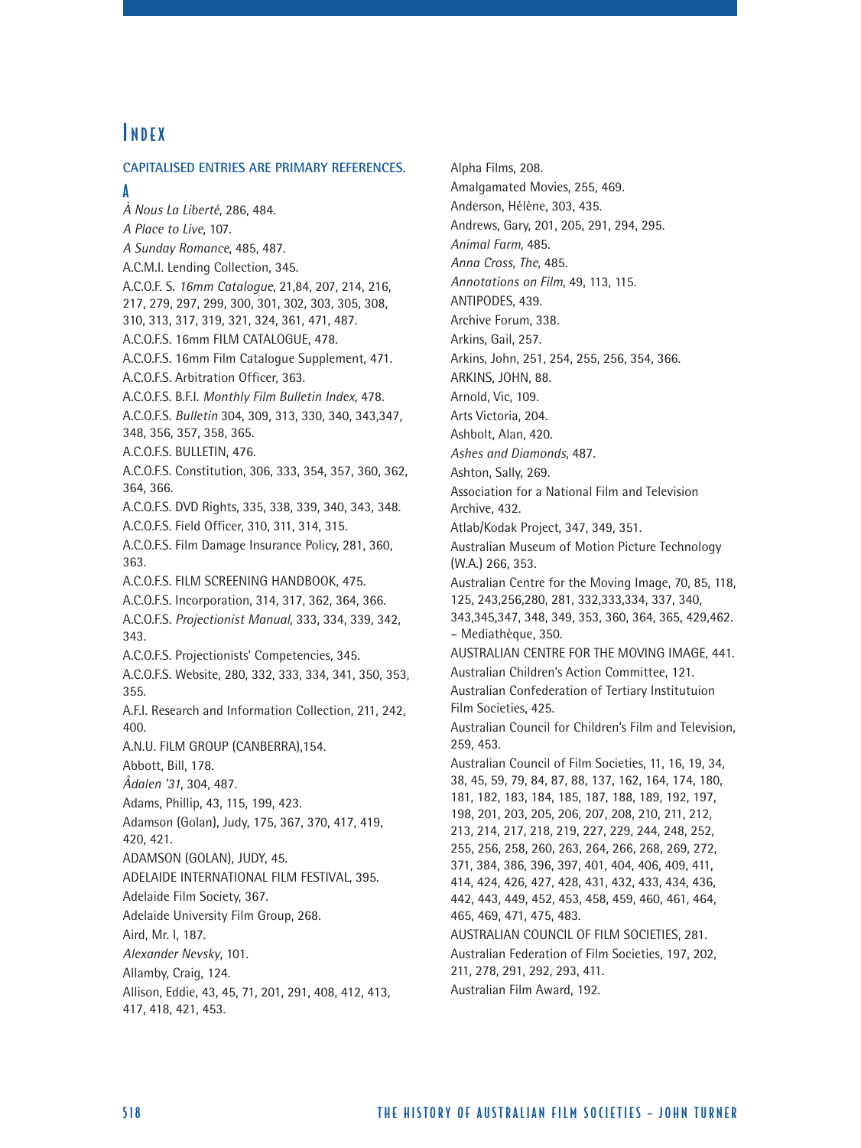# **INDEX**

**CAPITALISED ENTRIES ARE PRIMARY REFERENCES.**

A

*À Nous La Liberté*, 286, 484. *A Place to Live*, 107. *A Sunday Romance*, 485, 487. A.C.M.I. Lending Collection, 345. A.C.O.F. S. *16mm Catalogue*, 21,84, 207, 214, 216, 217, 279, 297, 299, 300, 301, 302, 303, 305, 308, 310, 313, 317, 319, 321, 324, 361, 471, 487. A.C.O.F.S. 16mm FILM CATALOGUE, 478. A.C.O.F.S. 16mm Film Catalogue Supplement, 471. A.C.O.F.S. Arbitration Officer, 363. A.C.O.F.S. B.F.I. *Monthly Film Bulletin Index*, 478. A.C.O.F.S. *Bulletin* 304, 309, 313, 330, 340, 343,347, 348, 356, 357, 358, 365. A.C.O.F.S. BULLETIN, 476. A.C.O.F.S. Constitution, 306, 333, 354, 357, 360, 362, 364, 366. A.C.O.F.S. DVD Rights, 335, 338, 339, 340, 343, 348. A.C.O.F.S. Field Officer, 310, 311, 314, 315. A.C.O.F.S. Film Damage Insurance Policy, 281, 360, 363. A.C.O.F.S. FILM SCREENING HANDBOOK, 475. A.C.O.F.S. Incorporation, 314, 317, 362, 364, 366. A.C.O.F.S. *Projectionist Manual*, 333, 334, 339, 342, 343. A.C.O.F.S. Projectionists' Competencies, 345. A.C.O.F.S. Website, 280, 332, 333, 334, 341, 350, 353, 355. A.F.I. Research and Information Collection, 211, 242, 400. A.N.U. FILM GROUP (CANBERRA),154. Abbott, Bill, 178. *Ådalen '31*, 304, 487. Adams, Phillip, 43, 115, 199, 423. Adamson (Golan), Judy, 175, 367, 370, 417, 419, 420, 421. ADAMSON (GOLAN), JUDY, 45. ADELAIDE INTERNATIONAL FILM FESTIVAL, 395. Adelaide Film Society, 367. Adelaide University Film Group, 268. Aird, Mr. I, 187. *Alexander Nevsky*, 101. Allamby, Craig, 124. Allison, Eddie, 43, 45, 71, 201, 291, 408, 412, 413, 417, 418, 421, 453.

Alpha Films, 208. Amalgamated Movies, 255, 469. Anderson, Hélène, 303, 435. Andrews, Gary, 201, 205, 291, 294, 295. *Animal Farm*, 485. *Anna Cross, The*, 485. *Annotations on Film*, 49, 113, 115. ANTIPODES, 439. Archive Forum, 338. Arkins, Gail, 257. Arkins, John, 251, 254, 255, 256, 354, 366. ARKINS, JOHN, 88. Arnold, Vic, 109. Arts Victoria, 204. Ashbolt, Alan, 420. *Ashes and Diamonds*, 487. Ashton, Sally, 269. Association for a National Film and Television Archive, 432. Atlab/Kodak Project, 347, 349, 351. Australian Museum of Motion Picture Technology (W.A.) 266, 353. Australian Centre for the Moving Image, 70, 85, 118, 125, 243,256,280, 281, 332,333,334, 337, 340, 343,345,347, 348, 349, 353, 360, 364, 365, 429,462. – Mediathèque, 350. AUSTRALIAN CENTRE FOR THE MOVING IMAGE, 441. Australian Children's Action Committee, 121. Australian Confederation of Tertiary Institutuion Film Societies, 425. Australian Council for Children's Film and Television, 259, 453. Australian Council of Film Societies, 11, 16, 19, 34, 38, 45, 59, 79, 84, 87, 88, 137, 162, 164, 174, 180, 181, 182, 183, 184, 185, 187, 188, 189, 192, 197, 198, 201, 203, 205, 206, 207, 208, 210, 211, 212, 213, 214, 217, 218, 219, 227, 229, 244, 248, 252, 255, 256, 258, 260, 263, 264, 266, 268, 269, 272, 371, 384, 386, 396, 397, 401, 404, 406, 409, 411, 414, 424, 426, 427, 428, 431, 432, 433, 434, 436, 442, 443, 449, 452, 453, 458, 459, 460, 461, 464, 465, 469, 471, 475, 483. AUSTRALIAN COUNCIL OF FILM SOCIETIES, 281. Australian Federation of Film Societies, 197, 202, 211, 278, 291, 292, 293, 411. Australian Film Award, 192.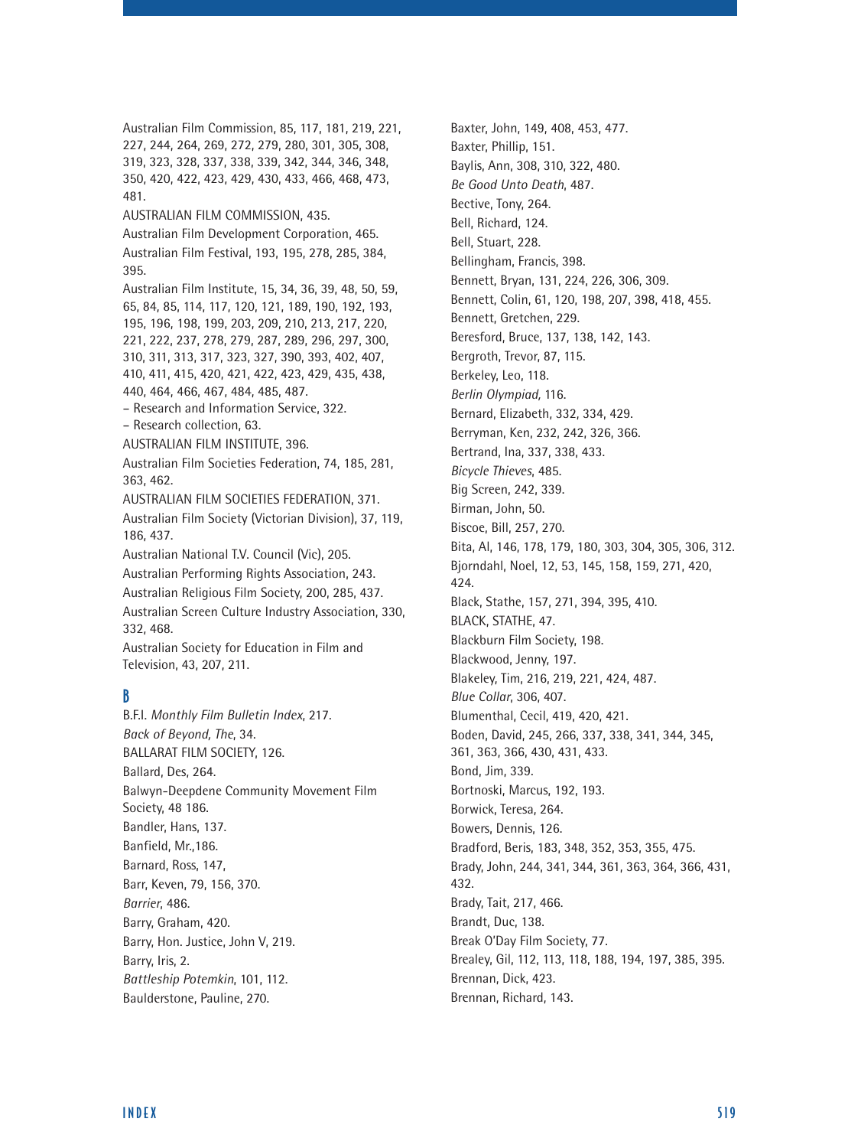Australian Film Commission, 85, 117, 181, 219, 221, 227, 244, 264, 269, 272, 279, 280, 301, 305, 308, 319, 323, 328, 337, 338, 339, 342, 344, 346, 348, 350, 420, 422, 423, 429, 430, 433, 466, 468, 473, 481. AUSTRALIAN FILM COMMISSION, 435. Australian Film Development Corporation, 465. Australian Film Festival, 193, 195, 278, 285, 384, 395. Australian Film Institute, 15, 34, 36, 39, 48, 50, 59, 65, 84, 85, 114, 117, 120, 121, 189, 190, 192, 193, 195, 196, 198, 199, 203, 209, 210, 213, 217, 220, 221, 222, 237, 278, 279, 287, 289, 296, 297, 300, 310, 311, 313, 317, 323, 327, 390, 393, 402, 407, 410, 411, 415, 420, 421, 422, 423, 429, 435, 438, 440, 464, 466, 467, 484, 485, 487. – Research and Information Service, 322. – Research collection, 63. AUSTRALIAN FILM INSTITUTE, 396. Australian Film Societies Federation, 74, 185, 281, 363, 462. AUSTRALIAN FILM SOCIETIES FEDERATION, 371. Australian Film Society (Victorian Division), 37, 119, 186, 437. Australian National T.V. Council (Vic), 205. Australian Performing Rights Association, 243. Australian Religious Film Society, 200, 285, 437. Australian Screen Culture Industry Association, 330, 332, 468. Australian Society for Education in Film and Television, 43, 207, 211. B B.F.I. *Monthly Film Bulletin Index*, 217. *Back of Beyond, The*, 34. BALLARAT FILM SOCIETY, 126. Ballard, Des, 264. Balwyn-Deepdene Community Movement Film Society, 48 186. Bandler, Hans, 137. Banfield, Mr.,186. Barnard, Ross, 147,

Baxter, John, 149, 408, 453, 477. Baxter, Phillip, 151. Baylis, Ann, 308, 310, 322, 480. *Be Good Unto Death*, 487. Bective, Tony, 264. Bell, Richard, 124. Bell, Stuart, 228. Bellingham, Francis, 398. Bennett, Bryan, 131, 224, 226, 306, 309. Bennett, Colin, 61, 120, 198, 207, 398, 418, 455. Bennett, Gretchen, 229. Beresford, Bruce, 137, 138, 142, 143. Bergroth, Trevor, 87, 115. Berkeley, Leo, 118. *Berlin Olympiad,* 116. Bernard, Elizabeth, 332, 334, 429. Berryman, Ken, 232, 242, 326, 366. Bertrand, Ina, 337, 338, 433. *Bicycle Thieves*, 485. Big Screen, 242, 339. Birman, John, 50. Biscoe, Bill, 257, 270. Bita, Al, 146, 178, 179, 180, 303, 304, 305, 306, 312. Bjorndahl, Noel, 12, 53, 145, 158, 159, 271, 420, 424. Black, Stathe, 157, 271, 394, 395, 410. BLACK, STATHE, 47. Blackburn Film Society, 198. Blackwood, Jenny, 197. Blakeley, Tim, 216, 219, 221, 424, 487. *Blue Collar*, 306, 407. Blumenthal, Cecil, 419, 420, 421. Boden, David, 245, 266, 337, 338, 341, 344, 345, 361, 363, 366, 430, 431, 433. Bond, Jim, 339. Bortnoski, Marcus, 192, 193. Borwick, Teresa, 264. Bowers, Dennis, 126. Bradford, Beris, 183, 348, 352, 353, 355, 475. Brady, John, 244, 341, 344, 361, 363, 364, 366, 431, 432. Brady, Tait, 217, 466. Brandt, Duc, 138. Break O'Day Film Society, 77. Brealey, Gil, 112, 113, 118, 188, 194, 197, 385, 395. Brennan, Dick, 423. Brennan, Richard, 143.

Barr, Keven, 79, 156, 370.

Barry, Hon. Justice, John V, 219.

*Battleship Potemkin*, 101, 112. Baulderstone, Pauline, 270.

*Barrier*, 486. Barry, Graham, 420.

Barry, Iris, 2.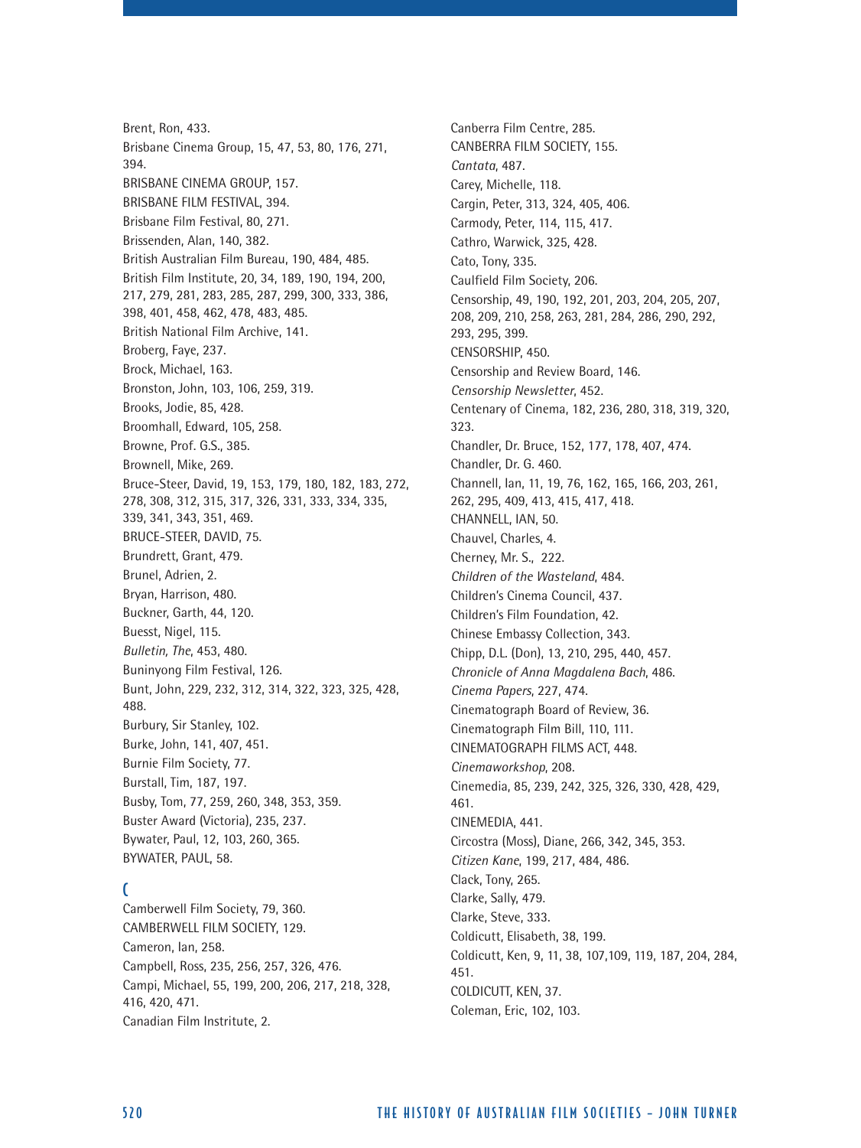Brent, Ron, 433. Brisbane Cinema Group, 15, 47, 53, 80, 176, 271, 394. BRISBANE CINEMA GROUP, 157. BRISBANE FILM FESTIVAL, 394. Brisbane Film Festival, 80, 271. Brissenden, Alan, 140, 382. British Australian Film Bureau, 190, 484, 485. British Film Institute, 20, 34, 189, 190, 194, 200, 217, 279, 281, 283, 285, 287, 299, 300, 333, 386, 398, 401, 458, 462, 478, 483, 485. British National Film Archive, 141. Broberg, Faye, 237. Brock, Michael, 163. Bronston, John, 103, 106, 259, 319. Brooks, Jodie, 85, 428. Broomhall, Edward, 105, 258. Browne, Prof. G.S., 385. Brownell, Mike, 269. Bruce-Steer, David, 19, 153, 179, 180, 182, 183, 272, 278, 308, 312, 315, 317, 326, 331, 333, 334, 335, 339, 341, 343, 351, 469. BRUCE-STEER, DAVID, 75. Brundrett, Grant, 479. Brunel, Adrien, 2. Bryan, Harrison, 480. Buckner, Garth, 44, 120. Buesst, Nigel, 115. *Bulletin, The*, 453, 480. Buninyong Film Festival, 126. Bunt, John, 229, 232, 312, 314, 322, 323, 325, 428, 488. Burbury, Sir Stanley, 102. Burke, John, 141, 407, 451. Burnie Film Society, 77. Burstall, Tim, 187, 197. Busby, Tom, 77, 259, 260, 348, 353, 359. Buster Award (Victoria), 235, 237. Bywater, Paul, 12, 103, 260, 365. BYWATER, PAUL, 58.

# $\Gamma$

Camberwell Film Society, 79, 360. CAMBERWELL FILM SOCIETY, 129. Cameron, Ian, 258. Campbell, Ross, 235, 256, 257, 326, 476. Campi, Michael, 55, 199, 200, 206, 217, 218, 328, 416, 420, 471. Canadian Film Instritute, 2.

Canberra Film Centre, 285. CANBERRA FILM SOCIETY, 155. *Cantata*, 487. Carey, Michelle, 118. Cargin, Peter, 313, 324, 405, 406. Carmody, Peter, 114, 115, 417. Cathro, Warwick, 325, 428. Cato, Tony, 335. Caulfield Film Society, 206. Censorship, 49, 190, 192, 201, 203, 204, 205, 207, 208, 209, 210, 258, 263, 281, 284, 286, 290, 292, 293, 295, 399. CENSORSHIP, 450. Censorship and Review Board, 146. *Censorship Newsletter*, 452. Centenary of Cinema, 182, 236, 280, 318, 319, 320, 323. Chandler, Dr. Bruce, 152, 177, 178, 407, 474. Chandler, Dr. G. 460. Channell, Ian, 11, 19, 76, 162, 165, 166, 203, 261, 262, 295, 409, 413, 415, 417, 418. CHANNELL, IAN, 50. Chauvel, Charles, 4. Cherney, Mr. S., 222. *Children of the Wasteland*, 484. Children's Cinema Council, 437. Children's Film Foundation, 42. Chinese Embassy Collection, 343. Chipp, D.L. (Don), 13, 210, 295, 440, 457. *Chronicle of Anna Magdalena Bach*, 486. *Cinema Papers*, 227, 474. Cinematograph Board of Review, 36. Cinematograph Film Bill, 110, 111. CINEMATOGRAPH FILMS ACT, 448. *Cinemaworkshop*, 208. Cinemedia, 85, 239, 242, 325, 326, 330, 428, 429, 461. CINEMEDIA, 441. Circostra (Moss), Diane, 266, 342, 345, 353. *Citizen Kane*, 199, 217, 484, 486. Clack, Tony, 265. Clarke, Sally, 479. Clarke, Steve, 333. Coldicutt, Elisabeth, 38, 199. Coldicutt, Ken, 9, 11, 38, 107,109, 119, 187, 204, 284, 451. COLDICUTT, KEN, 37. Coleman, Eric, 102, 103.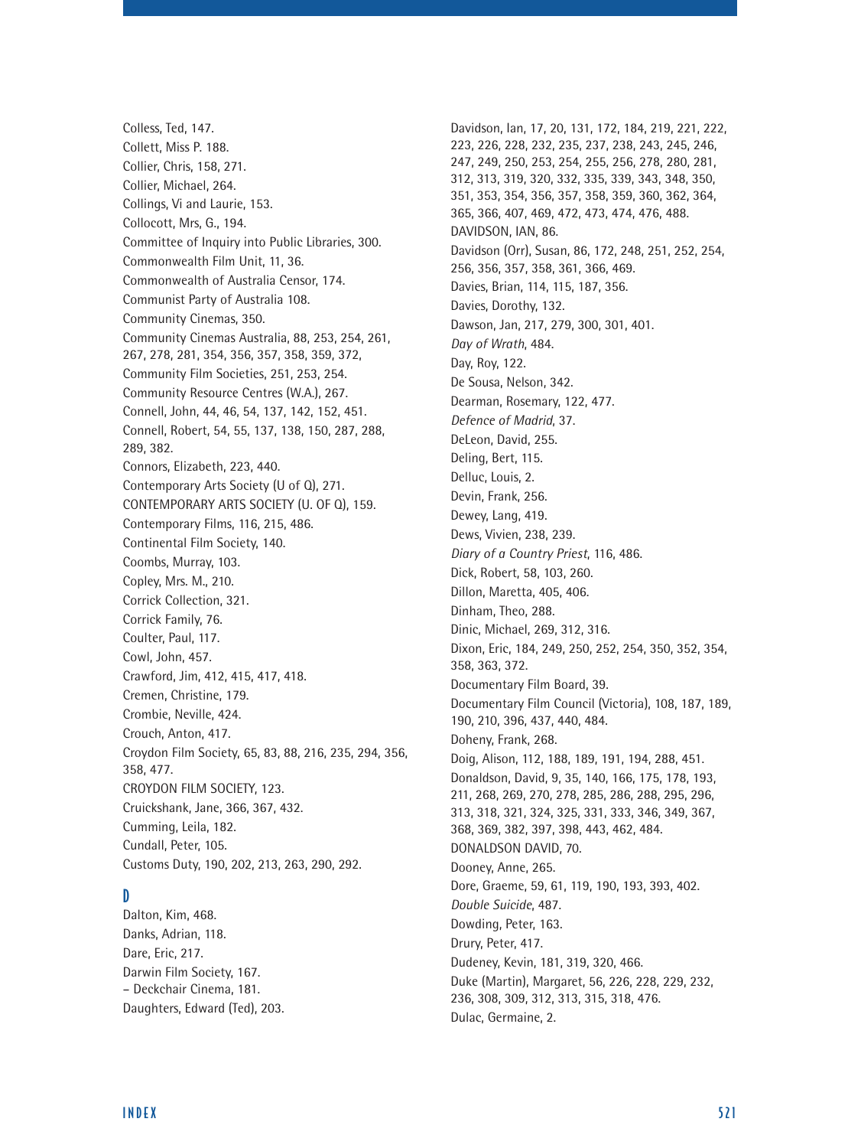Colless, Ted, 147. Collett, Miss P. 188. Collier, Chris, 158, 271. Collier, Michael, 264. Collings, Vi and Laurie, 153. Collocott, Mrs, G., 194. Committee of Inquiry into Public Libraries, 300. Commonwealth Film Unit, 11, 36. Commonwealth of Australia Censor, 174. Communist Party of Australia 108. Community Cinemas, 350. Community Cinemas Australia, 88, 253, 254, 261, 267, 278, 281, 354, 356, 357, 358, 359, 372, Community Film Societies, 251, 253, 254. Community Resource Centres (W.A.), 267. Connell, John, 44, 46, 54, 137, 142, 152, 451. Connell, Robert, 54, 55, 137, 138, 150, 287, 288, 289, 382. Connors, Elizabeth, 223, 440. Contemporary Arts Society (U of Q), 271. CONTEMPORARY ARTS SOCIETY (U. OF Q), 159. Contemporary Films, 116, 215, 486. Continental Film Society, 140. Coombs, Murray, 103. Copley, Mrs. M., 210. Corrick Collection, 321. Corrick Family, 76. Coulter, Paul, 117. Cowl, John, 457. Crawford, Jim, 412, 415, 417, 418. Cremen, Christine, 179. Crombie, Neville, 424. Crouch, Anton, 417. Croydon Film Society, 65, 83, 88, 216, 235, 294, 356, 358, 477. CROYDON FILM SOCIETY, 123. Cruickshank, Jane, 366, 367, 432. Cumming, Leila, 182. Cundall, Peter, 105. Customs Duty, 190, 202, 213, 263, 290, 292.

### D

Dalton, Kim, 468. Danks, Adrian, 118. Dare, Eric, 217. Darwin Film Society, 167. – Deckchair Cinema, 181. Daughters, Edward (Ted), 203. Davidson, Ian, 17, 20, 131, 172, 184, 219, 221, 222, 223, 226, 228, 232, 235, 237, 238, 243, 245, 246, 247, 249, 250, 253, 254, 255, 256, 278, 280, 281, 312, 313, 319, 320, 332, 335, 339, 343, 348, 350, 351, 353, 354, 356, 357, 358, 359, 360, 362, 364, 365, 366, 407, 469, 472, 473, 474, 476, 488. DAVIDSON, IAN, 86. Davidson (Orr), Susan, 86, 172, 248, 251, 252, 254, 256, 356, 357, 358, 361, 366, 469. Davies, Brian, 114, 115, 187, 356. Davies, Dorothy, 132. Dawson, Jan, 217, 279, 300, 301, 401. *Day of Wrath*, 484. Day, Roy, 122. De Sousa, Nelson, 342. Dearman, Rosemary, 122, 477. *Defence of Madrid*, 37. DeLeon, David, 255. Deling, Bert, 115. Delluc, Louis, 2. Devin, Frank, 256. Dewey, Lang, 419. Dews, Vivien, 238, 239. *Diary of a Country Priest*, 116, 486. Dick, Robert, 58, 103, 260. Dillon, Maretta, 405, 406. Dinham, Theo, 288. Dinic, Michael, 269, 312, 316. Dixon, Eric, 184, 249, 250, 252, 254, 350, 352, 354, 358, 363, 372. Documentary Film Board, 39. Documentary Film Council (Victoria), 108, 187, 189, 190, 210, 396, 437, 440, 484. Doheny, Frank, 268. Doig, Alison, 112, 188, 189, 191, 194, 288, 451. Donaldson, David, 9, 35, 140, 166, 175, 178, 193, 211, 268, 269, 270, 278, 285, 286, 288, 295, 296, 313, 318, 321, 324, 325, 331, 333, 346, 349, 367, 368, 369, 382, 397, 398, 443, 462, 484. DONALDSON DAVID, 70. Dooney, Anne, 265. Dore, Graeme, 59, 61, 119, 190, 193, 393, 402. *Double Suicide*, 487. Dowding, Peter, 163. Drury, Peter, 417. Dudeney, Kevin, 181, 319, 320, 466. Duke (Martin), Margaret, 56, 226, 228, 229, 232, 236, 308, 309, 312, 313, 315, 318, 476. Dulac, Germaine, 2.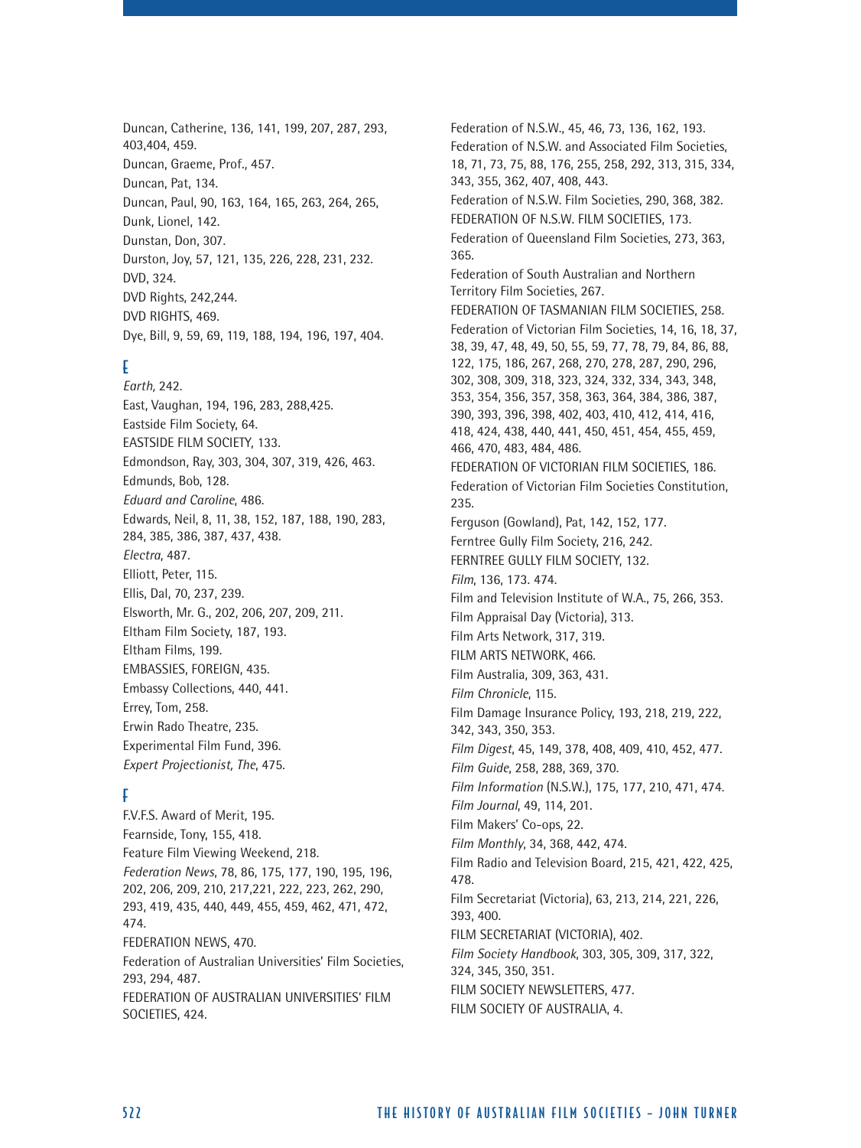Duncan, Catherine, 136, 141, 199, 207, 287, 293, 403,404, 459. Duncan, Graeme, Prof., 457. Duncan, Pat, 134. Duncan, Paul, 90, 163, 164, 165, 263, 264, 265, Dunk, Lionel, 142. Dunstan, Don, 307. Durston, Joy, 57, 121, 135, 226, 228, 231, 232. DVD, 324. DVD Rights, 242,244. DVD RIGHTS, 469. Dye, Bill, 9, 59, 69, 119, 188, 194, 196, 197, 404.

# E

*Earth,* 242. East, Vaughan, 194, 196, 283, 288,425. Eastside Film Society, 64. EASTSIDE FILM SOCIETY, 133. Edmondson, Ray, 303, 304, 307, 319, 426, 463. Edmunds, Bob, 128. *Eduard and Caroline*, 486. Edwards, Neil, 8, 11, 38, 152, 187, 188, 190, 283, 284, 385, 386, 387, 437, 438. *Electra*, 487. Elliott, Peter, 115. Ellis, Dal, 70, 237, 239. Elsworth, Mr. G., 202, 206, 207, 209, 211. Eltham Film Society, 187, 193. Eltham Films, 199. EMBASSIES, FOREIGN, 435. Embassy Collections, 440, 441. Errey, Tom, 258. Erwin Rado Theatre, 235. Experimental Film Fund, 396. *Expert Projectionist, The*, 475.

# F

F.V.F.S. Award of Merit, 195. Fearnside, Tony, 155, 418. Feature Film Viewing Weekend, 218. *Federation News*, 78, 86, 175, 177, 190, 195, 196, 202, 206, 209, 210, 217,221, 222, 223, 262, 290, 293, 419, 435, 440, 449, 455, 459, 462, 471, 472, 474. FEDERATION NEWS, 470. Federation of Australian Universities' Film Societies, 293, 294, 487. FEDERATION OF AUSTRALIAN UNIVERSITIES' FILM SOCIETIES, 424.

Federation of N.S.W., 45, 46, 73, 136, 162, 193. Federation of N.S.W. and Associated Film Societies, 18, 71, 73, 75, 88, 176, 255, 258, 292, 313, 315, 334, 343, 355, 362, 407, 408, 443. Federation of N.S.W. Film Societies, 290, 368, 382. FEDERATION OF N.S.W. FILM SOCIETIES, 173. Federation of Queensland Film Societies, 273, 363, 365. Federation of South Australian and Northern Territory Film Societies, 267. FEDERATION OF TASMANIAN FILM SOCIETIES, 258. Federation of Victorian Film Societies, 14, 16, 18, 37, 38, 39, 47, 48, 49, 50, 55, 59, 77, 78, 79, 84, 86, 88, 122, 175, 186, 267, 268, 270, 278, 287, 290, 296, 302, 308, 309, 318, 323, 324, 332, 334, 343, 348, 353, 354, 356, 357, 358, 363, 364, 384, 386, 387, 390, 393, 396, 398, 402, 403, 410, 412, 414, 416, 418, 424, 438, 440, 441, 450, 451, 454, 455, 459, 466, 470, 483, 484, 486. FEDERATION OF VICTORIAN FILM SOCIETIES, 186. Federation of Victorian Film Societies Constitution, 235. Ferguson (Gowland), Pat, 142, 152, 177. Ferntree Gully Film Society, 216, 242. FERNTREE GULLY FILM SOCIETY, 132. *Film*, 136, 173. 474. Film and Television Institute of W.A., 75, 266, 353. Film Appraisal Day (Victoria), 313. Film Arts Network, 317, 319. FILM ARTS NETWORK, 466. Film Australia, 309, 363, 431. *Film Chronicle*, 115. Film Damage Insurance Policy, 193, 218, 219, 222, 342, 343, 350, 353. *Film Digest*, 45, 149, 378, 408, 409, 410, 452, 477. *Film Guide*, 258, 288, 369, 370. *Film Information* (N.S.W.), 175, 177, 210, 471, 474. *Film Journal*, 49, 114, 201. Film Makers' Co-ops, 22. *Film Monthly*, 34, 368, 442, 474. Film Radio and Television Board, 215, 421, 422, 425, 478. Film Secretariat (Victoria), 63, 213, 214, 221, 226, 393, 400. FILM SECRETARIAT (VICTORIA), 402. *Film Society Handbook*, 303, 305, 309, 317, 322, 324, 345, 350, 351. FILM SOCIETY NEWSLETTERS, 477. FILM SOCIETY OF AUSTRALIA, 4.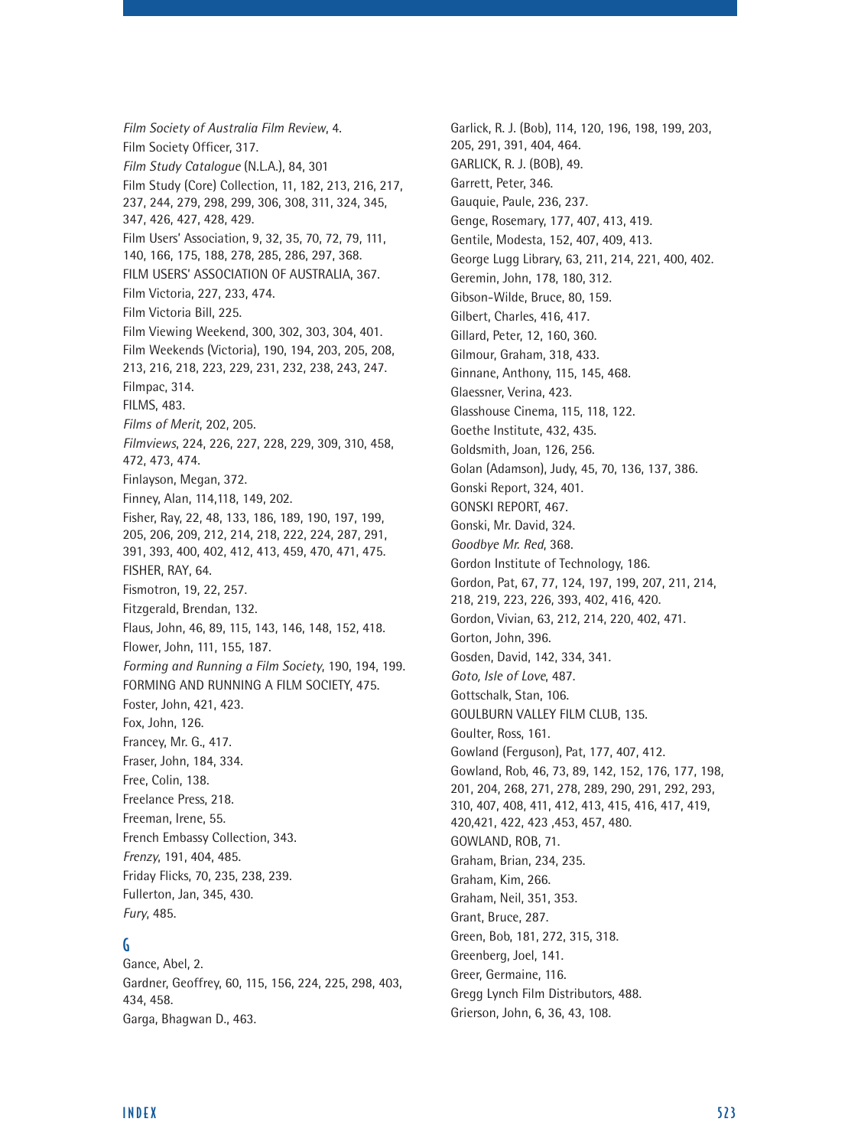*Film Society of Australia Film Review*, 4. Film Society Officer, 317. *Film Study Catalogue* (N.L.A.), 84, 301 Film Study (Core) Collection, 11, 182, 213, 216, 217, 237, 244, 279, 298, 299, 306, 308, 311, 324, 345, 347, 426, 427, 428, 429. Film Users' Association, 9, 32, 35, 70, 72, 79, 111, 140, 166, 175, 188, 278, 285, 286, 297, 368. FILM USERS' ASSOCIATION OF AUSTRALIA, 367. Film Victoria, 227, 233, 474. Film Victoria Bill, 225. Film Viewing Weekend, 300, 302, 303, 304, 401. Film Weekends (Victoria), 190, 194, 203, 205, 208, 213, 216, 218, 223, 229, 231, 232, 238, 243, 247. Filmpac, 314. FILMS, 483. *Films of Merit*, 202, 205. *Filmviews*, 224, 226, 227, 228, 229, 309, 310, 458, 472, 473, 474. Finlayson, Megan, 372. Finney, Alan, 114,118, 149, 202. Fisher, Ray, 22, 48, 133, 186, 189, 190, 197, 199, 205, 206, 209, 212, 214, 218, 222, 224, 287, 291, 391, 393, 400, 402, 412, 413, 459, 470, 471, 475. FISHER, RAY, 64. Fismotron, 19, 22, 257. Fitzgerald, Brendan, 132. Flaus, John, 46, 89, 115, 143, 146, 148, 152, 418. Flower, John, 111, 155, 187. *Forming and Running a Film Society*, 190, 194, 199. FORMING AND RUNNING A FILM SOCIETY, 475. Foster, John, 421, 423. Fox, John, 126. Francey, Mr. G., 417. Fraser, John, 184, 334. Free, Colin, 138. Freelance Press, 218. Freeman, Irene, 55. French Embassy Collection, 343. *Frenzy*, 191, 404, 485. Friday Flicks, 70, 235, 238, 239. Fullerton, Jan, 345, 430. *Fury*, 485.

# G

Gance, Abel, 2. Gardner, Geoffrey, 60, 115, 156, 224, 225, 298, 403, 434, 458. Garga, Bhagwan D., 463.

Garlick, R. J. (Bob), 114, 120, 196, 198, 199, 203, 205, 291, 391, 404, 464. GARLICK, R. J. (BOB), 49. Garrett, Peter, 346. Gauquie, Paule, 236, 237. Genge, Rosemary, 177, 407, 413, 419. Gentile, Modesta, 152, 407, 409, 413. George Lugg Library, 63, 211, 214, 221, 400, 402. Geremin, John, 178, 180, 312. Gibson-Wilde, Bruce, 80, 159. Gilbert, Charles, 416, 417. Gillard, Peter, 12, 160, 360. Gilmour, Graham, 318, 433. Ginnane, Anthony, 115, 145, 468. Glaessner, Verina, 423. Glasshouse Cinema, 115, 118, 122. Goethe Institute, 432, 435. Goldsmith, Joan, 126, 256. Golan (Adamson), Judy, 45, 70, 136, 137, 386. Gonski Report, 324, 401. GONSKI REPORT, 467. Gonski, Mr. David, 324. *Goodbye Mr. Red*, 368. Gordon Institute of Technology, 186. Gordon, Pat, 67, 77, 124, 197, 199, 207, 211, 214, 218, 219, 223, 226, 393, 402, 416, 420. Gordon, Vivian, 63, 212, 214, 220, 402, 471. Gorton, John, 396. Gosden, David, 142, 334, 341. *Goto, Isle of Love*, 487. Gottschalk, Stan, 106. GOULBURN VALLEY FILM CLUB, 135. Goulter, Ross, 161. Gowland (Ferguson), Pat, 177, 407, 412. Gowland, Rob, 46, 73, 89, 142, 152, 176, 177, 198, 201, 204, 268, 271, 278, 289, 290, 291, 292, 293, 310, 407, 408, 411, 412, 413, 415, 416, 417, 419, 420,421, 422, 423 ,453, 457, 480. GOWLAND, ROB, 71. Graham, Brian, 234, 235. Graham, Kim, 266. Graham, Neil, 351, 353. Grant, Bruce, 287. Green, Bob, 181, 272, 315, 318. Greenberg, Joel, 141. Greer, Germaine, 116. Gregg Lynch Film Distributors, 488. Grierson, John, 6, 36, 43, 108.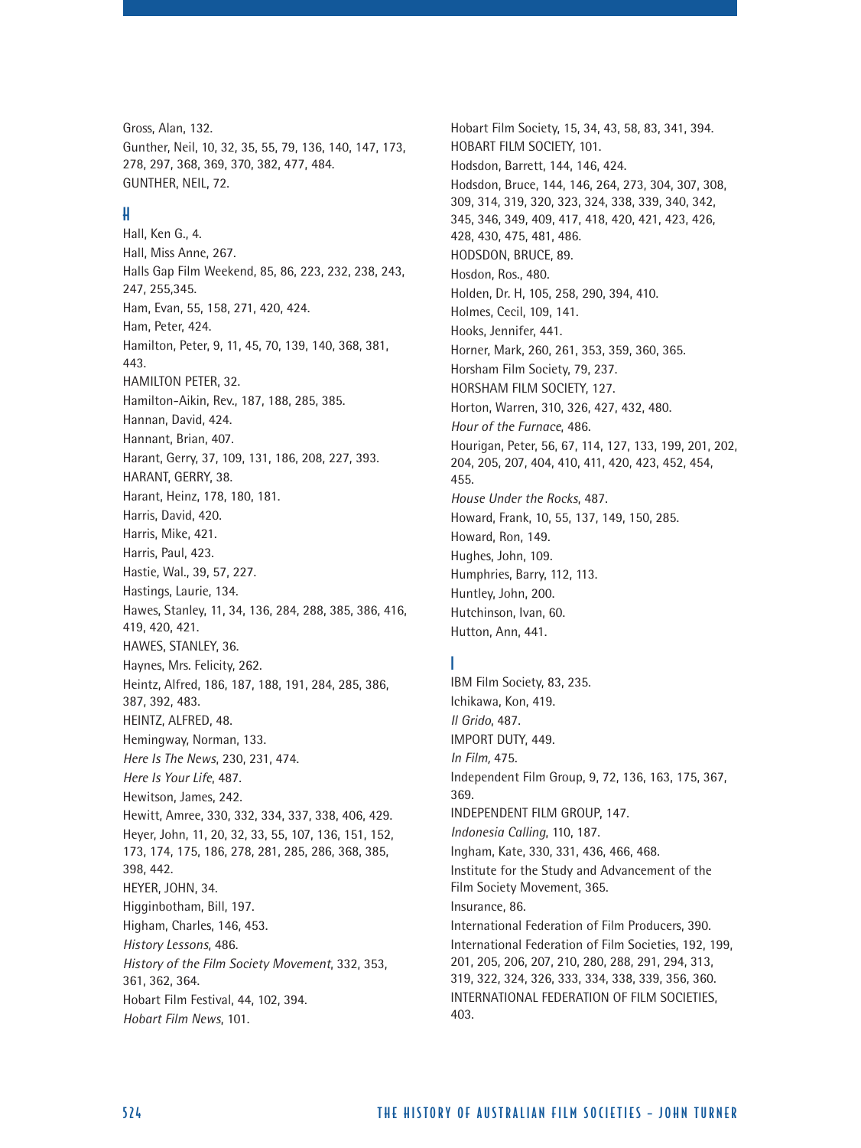Gross, Alan, 132. Gunther, Neil, 10, 32, 35, 55, 79, 136, 140, 147, 173, 278, 297, 368, 369, 370, 382, 477, 484. GUNTHER, NEIL, 72.

#### H

Hall, Ken G., 4. Hall, Miss Anne, 267. Halls Gap Film Weekend, 85, 86, 223, 232, 238, 243, 247, 255,345. Ham, Evan, 55, 158, 271, 420, 424. Ham, Peter, 424. Hamilton, Peter, 9, 11, 45, 70, 139, 140, 368, 381, 443. HAMILTON PETER, 32. Hamilton-Aikin, Rev., 187, 188, 285, 385. Hannan, David, 424. Hannant, Brian, 407. Harant, Gerry, 37, 109, 131, 186, 208, 227, 393. HARANT, GERRY, 38. Harant, Heinz, 178, 180, 181. Harris, David, 420. Harris, Mike, 421. Harris, Paul, 423. Hastie, Wal., 39, 57, 227. Hastings, Laurie, 134. Hawes, Stanley, 11, 34, 136, 284, 288, 385, 386, 416, 419, 420, 421. HAWES, STANLEY, 36. Haynes, Mrs. Felicity, 262. Heintz, Alfred, 186, 187, 188, 191, 284, 285, 386, 387, 392, 483. HEINTZ, ALFRED, 48. Hemingway, Norman, 133. *Here Is The News*, 230, 231, 474. *Here Is Your Life*, 487. Hewitson, James, 242. Hewitt, Amree, 330, 332, 334, 337, 338, 406, 429. Heyer, John, 11, 20, 32, 33, 55, 107, 136, 151, 152, 173, 174, 175, 186, 278, 281, 285, 286, 368, 385, 398, 442. HEYER, JOHN, 34. Higginbotham, Bill, 197. Higham, Charles, 146, 453. *History Lessons*, 486. *History of the Film Society Movement*, 332, 353, 361, 362, 364. Hobart Film Festival, 44, 102, 394. *Hobart Film News*, 101.

Hobart Film Society, 15, 34, 43, 58, 83, 341, 394. HOBART FILM SOCIETY, 101. Hodsdon, Barrett, 144, 146, 424. Hodsdon, Bruce, 144, 146, 264, 273, 304, 307, 308, 309, 314, 319, 320, 323, 324, 338, 339, 340, 342, 345, 346, 349, 409, 417, 418, 420, 421, 423, 426, 428, 430, 475, 481, 486. HODSDON, BRUCE, 89. Hosdon, Ros., 480. Holden, Dr. H, 105, 258, 290, 394, 410. Holmes, Cecil, 109, 141. Hooks, Jennifer, 441. Horner, Mark, 260, 261, 353, 359, 360, 365. Horsham Film Society, 79, 237. HORSHAM FILM SOCIETY, 127. Horton, Warren, 310, 326, 427, 432, 480. *Hour of the Furnace*, 486. Hourigan, Peter, 56, 67, 114, 127, 133, 199, 201, 202, 204, 205, 207, 404, 410, 411, 420, 423, 452, 454, 455. *House Under the Rocks*, 487. Howard, Frank, 10, 55, 137, 149, 150, 285. Howard, Ron, 149. Hughes, John, 109. Humphries, Barry, 112, 113. Huntley, John, 200. Hutchinson, Ivan, 60. Hutton, Ann, 441.

#### I ı

IBM Film Society, 83, 235. Ichikawa, Kon, 419. *Il Grido*, 487. IMPORT DUTY, 449. *In Film,* 475. Independent Film Group, 9, 72, 136, 163, 175, 367, 369. INDEPENDENT FILM GROUP, 147. *Indonesia Calling*, 110, 187. Ingham, Kate, 330, 331, 436, 466, 468. Institute for the Study and Advancement of the Film Society Movement, 365. Insurance, 86. International Federation of Film Producers, 390. International Federation of Film Societies, 192, 199, 201, 205, 206, 207, 210, 280, 288, 291, 294, 313, 319, 322, 324, 326, 333, 334, 338, 339, 356, 360. INTERNATIONAL FEDERATION OF FILM SOCIETIES, 403.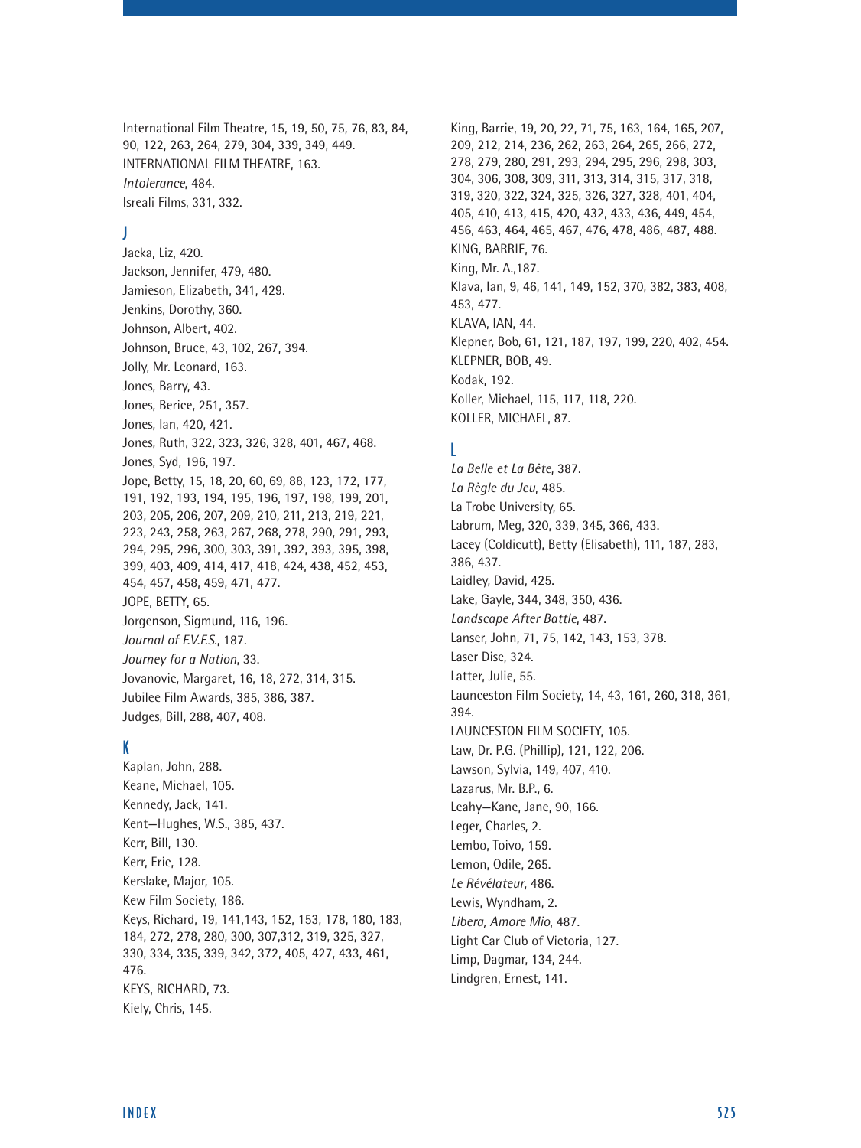International Film Theatre, 15, 19, 50, 75, 76, 83, 84, 90, 122, 263, 264, 279, 304, 339, 349, 449. INTERNATIONAL FILM THEATRE, 163. *Intolerance*, 484. Isreali Films, 331, 332.

#### J

Jacka, Liz, 420. Jackson, Jennifer, 479, 480. Jamieson, Elizabeth, 341, 429. Jenkins, Dorothy, 360. Johnson, Albert, 402. Johnson, Bruce, 43, 102, 267, 394. Jolly, Mr. Leonard, 163. Jones, Barry, 43. Jones, Berice, 251, 357. Jones, Ian, 420, 421. Jones, Ruth, 322, 323, 326, 328, 401, 467, 468. Jones, Syd, 196, 197. Jope, Betty, 15, 18, 20, 60, 69, 88, 123, 172, 177, 191, 192, 193, 194, 195, 196, 197, 198, 199, 201, 203, 205, 206, 207, 209, 210, 211, 213, 219, 221, 223, 243, 258, 263, 267, 268, 278, 290, 291, 293, 294, 295, 296, 300, 303, 391, 392, 393, 395, 398, 399, 403, 409, 414, 417, 418, 424, 438, 452, 453, 454, 457, 458, 459, 471, 477. JOPE, BETTY, 65. Jorgenson, Sigmund, 116, 196. *Journal of F.V.F.S.*, 187. *Journey for a Nation*, 33. Jovanovic, Margaret, 16, 18, 272, 314, 315. Jubilee Film Awards, 385, 386, 387. Judges, Bill, 288, 407, 408.

#### K

Kaplan, John, 288. Keane, Michael, 105. Kennedy, Jack, 141. Kent—Hughes, W.S., 385, 437. Kerr, Bill, 130. Kerr, Eric, 128. Kerslake, Major, 105. Kew Film Society, 186. Keys, Richard, 19, 141,143, 152, 153, 178, 180, 183, 184, 272, 278, 280, 300, 307,312, 319, 325, 327, 330, 334, 335, 339, 342, 372, 405, 427, 433, 461, 476. KEYS, RICHARD, 73. Kiely, Chris, 145.

King, Barrie, 19, 20, 22, 71, 75, 163, 164, 165, 207, 209, 212, 214, 236, 262, 263, 264, 265, 266, 272, 278, 279, 280, 291, 293, 294, 295, 296, 298, 303, 304, 306, 308, 309, 311, 313, 314, 315, 317, 318, 319, 320, 322, 324, 325, 326, 327, 328, 401, 404, 405, 410, 413, 415, 420, 432, 433, 436, 449, 454, 456, 463, 464, 465, 467, 476, 478, 486, 487, 488. KING, BARRIE, 76. King, Mr. A.,187. Klava, Ian, 9, 46, 141, 149, 152, 370, 382, 383, 408, 453, 477. KLAVA, IAN, 44. Klepner, Bob, 61, 121, 187, 197, 199, 220, 402, 454. KLEPNER, BOB, 49. Kodak, 192. Koller, Michael, 115, 117, 118, 220. KOLLER, MICHAEL, 87.

#### L

*La Belle et La Bête*, 387. *La Règle du Jeu*, 485. La Trobe University, 65. Labrum, Meg, 320, 339, 345, 366, 433. Lacey (Coldicutt), Betty (Elisabeth), 111, 187, 283, 386, 437. Laidley, David, 425. Lake, Gayle, 344, 348, 350, 436. *Landscape After Battle*, 487. Lanser, John, 71, 75, 142, 143, 153, 378. Laser Disc, 324. Latter, Julie, 55. Launceston Film Society, 14, 43, 161, 260, 318, 361, 394. LAUNCESTON FILM SOCIETY, 105. Law, Dr. P.G. (Phillip), 121, 122, 206. Lawson, Sylvia, 149, 407, 410. Lazarus, Mr. B.P., 6. Leahy—Kane, Jane, 90, 166. Leger, Charles, 2. Lembo, Toivo, 159. Lemon, Odile, 265. *Le Révélateur*, 486. Lewis, Wyndham, 2. *Libera, Amore Mio*, 487. Light Car Club of Victoria, 127. Limp, Dagmar, 134, 244.

Lindgren, Ernest, 141.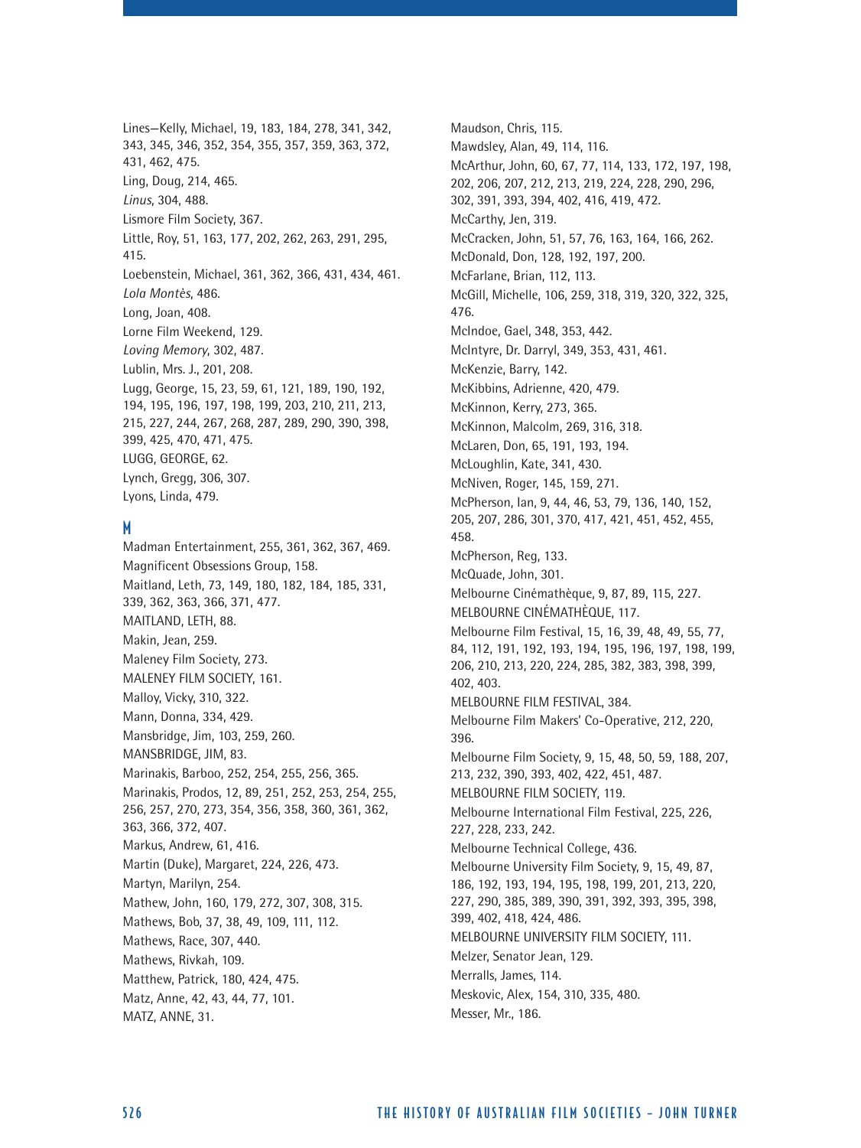Lines—Kelly, Michael, 19, 183, 184, 278, 341, 342, 343, 345, 346, 352, 354, 355, 357, 359, 363, 372, 431, 462, 475. Ling, Doug, 214, 465. *Linus*, 304, 488. Lismore Film Society, 367. Little, Roy, 51, 163, 177, 202, 262, 263, 291, 295, 415. Loebenstein, Michael, 361, 362, 366, 431, 434, 461. *Lola Montès*, 486. Long, Joan, 408. Lorne Film Weekend, 129. *Loving Memory*, 302, 487. Lublin, Mrs. J., 201, 208. Lugg, George, 15, 23, 59, 61, 121, 189, 190, 192, 194, 195, 196, 197, 198, 199, 203, 210, 211, 213, 215, 227, 244, 267, 268, 287, 289, 290, 390, 398, 399, 425, 470, 471, 475. LUGG, GEORGE, 62. Lynch, Gregg, 306, 307. Lyons, Linda, 479.

# M

Madman Entertainment, 255, 361, 362, 367, 469. Magnificent Obsessions Group, 158. Maitland, Leth, 73, 149, 180, 182, 184, 185, 331, 339, 362, 363, 366, 371, 477. MAITLAND, LETH, 88. Makin, Jean, 259. Maleney Film Society, 273. MALENEY FILM SOCIETY, 161. Malloy, Vicky, 310, 322. Mann, Donna, 334, 429. Mansbridge, Jim, 103, 259, 260. MANSBRIDGE, JIM, 83. Marinakis, Barboo, 252, 254, 255, 256, 365. Marinakis, Prodos, 12, 89, 251, 252, 253, 254, 255, 256, 257, 270, 273, 354, 356, 358, 360, 361, 362, 363, 366, 372, 407. Markus, Andrew, 61, 416. Martin (Duke), Margaret, 224, 226, 473. Martyn, Marilyn, 254. Mathew, John, 160, 179, 272, 307, 308, 315. Mathews, Bob, 37, 38, 49, 109, 111, 112. Mathews, Race, 307, 440. Mathews, Rivkah, 109. Matthew, Patrick, 180, 424, 475. Matz, Anne, 42, 43, 44, 77, 101. MATZ, ANNE, 31.

Maudson, Chris, 115. Mawdsley, Alan, 49, 114, 116. McArthur, John, 60, 67, 77, 114, 133, 172, 197, 198, 202, 206, 207, 212, 213, 219, 224, 228, 290, 296, 302, 391, 393, 394, 402, 416, 419, 472. McCarthy, Jen, 319. McCracken, John, 51, 57, 76, 163, 164, 166, 262. McDonald, Don, 128, 192, 197, 200. McFarlane, Brian, 112, 113. McGill, Michelle, 106, 259, 318, 319, 320, 322, 325, 476. McIndoe, Gael, 348, 353, 442. McIntyre, Dr. Darryl, 349, 353, 431, 461. McKenzie, Barry, 142. McKibbins, Adrienne, 420, 479. McKinnon, Kerry, 273, 365. McKinnon, Malcolm, 269, 316, 318. McLaren, Don, 65, 191, 193, 194. McLoughlin, Kate, 341, 430. McNiven, Roger, 145, 159, 271. McPherson, Ian, 9, 44, 46, 53, 79, 136, 140, 152, 205, 207, 286, 301, 370, 417, 421, 451, 452, 455, 458. McPherson, Reg, 133. McQuade, John, 301. Melbourne Cinémathèque, 9, 87, 89, 115, 227. MELBOURNE CINÉMATHÈQUE, 117. Melbourne Film Festival, 15, 16, 39, 48, 49, 55, 77, 84, 112, 191, 192, 193, 194, 195, 196, 197, 198, 199, 206, 210, 213, 220, 224, 285, 382, 383, 398, 399, 402, 403. MELBOURNE FILM FESTIVAL, 384. Melbourne Film Makers' Co-Operative, 212, 220, 396. Melbourne Film Society, 9, 15, 48, 50, 59, 188, 207, 213, 232, 390, 393, 402, 422, 451, 487. MELBOURNE FILM SOCIETY, 119. Melbourne International Film Festival, 225, 226, 227, 228, 233, 242. Melbourne Technical College, 436. Melbourne University Film Society, 9, 15, 49, 87, 186, 192, 193, 194, 195, 198, 199, 201, 213, 220, 227, 290, 385, 389, 390, 391, 392, 393, 395, 398, 399, 402, 418, 424, 486. MELBOURNE UNIVERSITY FILM SOCIETY, 111. Melzer, Senator Jean, 129. Merralls, James, 114. Meskovic, Alex, 154, 310, 335, 480. Messer, Mr., 186.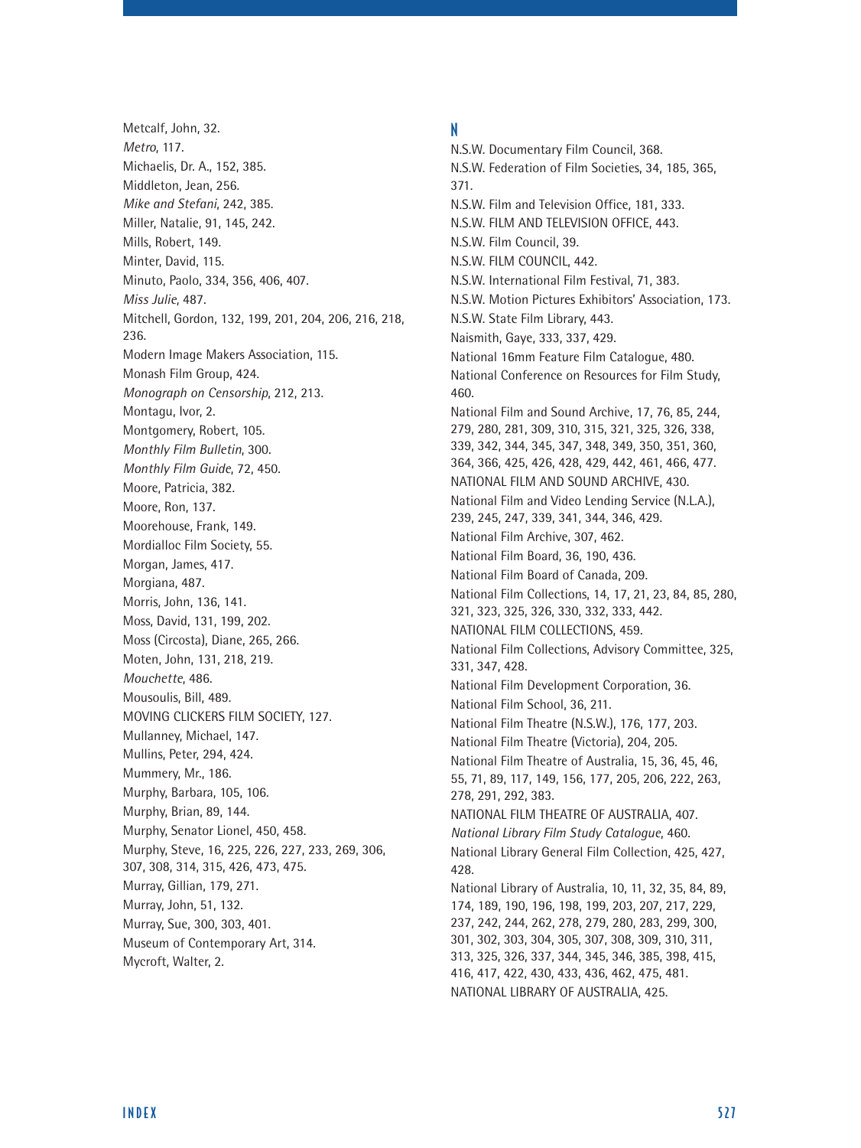Metcalf, John, 32. *Metro*, 117. Michaelis, Dr. A., 152, 385. Middleton, Jean, 256. *Mike and Stefani*, 242, 385. Miller, Natalie, 91, 145, 242. Mills, Robert, 149. Minter, David, 115. Minuto, Paolo, 334, 356, 406, 407. *Miss Julie*, 487. Mitchell, Gordon, 132, 199, 201, 204, 206, 216, 218, 236. Modern Image Makers Association, 115. Monash Film Group, 424. *Monograph on Censorship*, 212, 213. Montagu, Ivor, 2. Montgomery, Robert, 105. *Monthly Film Bulletin*, 300. *Monthly Film Guide*, 72, 450. Moore, Patricia, 382. Moore, Ron, 137. Moorehouse, Frank, 149. Mordialloc Film Society, 55. Morgan, James, 417. Morgiana, 487. Morris, John, 136, 141. Moss, David, 131, 199, 202. Moss (Circosta), Diane, 265, 266. Moten, John, 131, 218, 219. *Mouchette*, 486. Mousoulis, Bill, 489. MOVING CLICKERS FILM SOCIETY, 127. Mullanney, Michael, 147. Mullins, Peter, 294, 424. Mummery, Mr., 186. Murphy, Barbara, 105, 106. Murphy, Brian, 89, 144. Murphy, Senator Lionel, 450, 458. Murphy, Steve, 16, 225, 226, 227, 233, 269, 306, 307, 308, 314, 315, 426, 473, 475. Murray, Gillian, 179, 271. Murray, John, 51, 132. Murray, Sue, 300, 303, 401. Museum of Contemporary Art, 314. Mycroft, Walter, 2.

#### N

N.S.W. Documentary Film Council, 368. N.S.W. Federation of Film Societies, 34, 185, 365, 371. N.S.W. Film and Television Office, 181, 333. N.S.W. FILM AND TELEVISION OFFICE, 443. N.S.W. Film Council, 39. N.S.W. FILM COUNCIL, 442. N.S.W. International Film Festival, 71, 383. N.S.W. Motion Pictures Exhibitors' Association, 173. N.S.W. State Film Library, 443. Naismith, Gaye, 333, 337, 429. National 16mm Feature Film Catalogue, 480. National Conference on Resources for Film Study, 460. National Film and Sound Archive, 17, 76, 85, 244, 279, 280, 281, 309, 310, 315, 321, 325, 326, 338, 339, 342, 344, 345, 347, 348, 349, 350, 351, 360, 364, 366, 425, 426, 428, 429, 442, 461, 466, 477. NATIONAL FILM AND SOUND ARCHIVE, 430. National Film and Video Lending Service (N.L.A.), 239, 245, 247, 339, 341, 344, 346, 429. National Film Archive, 307, 462. National Film Board, 36, 190, 436. National Film Board of Canada, 209. National Film Collections, 14, 17, 21, 23, 84, 85, 280, 321, 323, 325, 326, 330, 332, 333, 442. NATIONAL FILM COLLECTIONS, 459. National Film Collections, Advisory Committee, 325, 331, 347, 428. National Film Development Corporation, 36. National Film School, 36, 211. National Film Theatre (N.S.W.), 176, 177, 203. National Film Theatre (Victoria), 204, 205. National Film Theatre of Australia, 15, 36, 45, 46, 55, 71, 89, 117, 149, 156, 177, 205, 206, 222, 263, 278, 291, 292, 383. NATIONAL FILM THEATRE OF AUSTRALIA, 407. *National Library Film Study Catalogue*, 460. National Library General Film Collection, 425, 427, 428. National Library of Australia, 10, 11, 32, 35, 84, 89, 174, 189, 190, 196, 198, 199, 203, 207, 217, 229, 237, 242, 244, 262, 278, 279, 280, 283, 299, 300, 301, 302, 303, 304, 305, 307, 308, 309, 310, 311, 313, 325, 326, 337, 344, 345, 346, 385, 398, 415, 416, 417, 422, 430, 433, 436, 462, 475, 481. NATIONAL LIBRARY OF AUSTRALIA, 425.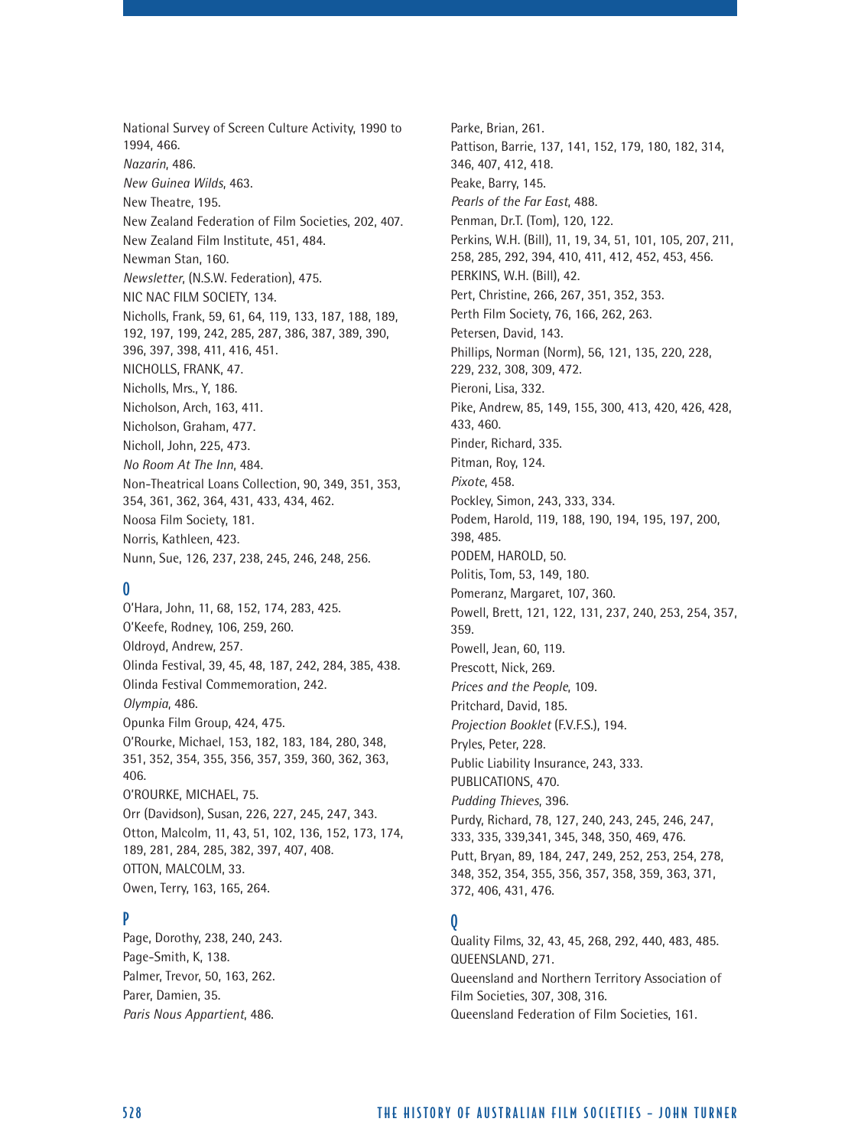National Survey of Screen Culture Activity, 1990 to 1994, 466. *Nazarin*, 486. *New Guinea Wilds*, 463. New Theatre, 195. New Zealand Federation of Film Societies, 202, 407. New Zealand Film Institute, 451, 484. Newman Stan, 160. *Newsletter*, (N.S.W. Federation), 475. NIC NAC FILM SOCIETY, 134. Nicholls, Frank, 59, 61, 64, 119, 133, 187, 188, 189, 192, 197, 199, 242, 285, 287, 386, 387, 389, 390, 396, 397, 398, 411, 416, 451. NICHOLLS, FRANK, 47. Nicholls, Mrs., Y, 186. Nicholson, Arch, 163, 411. Nicholson, Graham, 477. Nicholl, John, 225, 473. *No Room At The Inn*, 484. Non-Theatrical Loans Collection, 90, 349, 351, 353, 354, 361, 362, 364, 431, 433, 434, 462. Noosa Film Society, 181. Norris, Kathleen, 423. Nunn, Sue, 126, 237, 238, 245, 246, 248, 256.

### $\boldsymbol{0}$

O'Hara, John, 11, 68, 152, 174, 283, 425. O'Keefe, Rodney, 106, 259, 260. Oldroyd, Andrew, 257. Olinda Festival, 39, 45, 48, 187, 242, 284, 385, 438. Olinda Festival Commemoration, 242. *Olympia*, 486. Opunka Film Group, 424, 475. O'Rourke, Michael, 153, 182, 183, 184, 280, 348, 351, 352, 354, 355, 356, 357, 359, 360, 362, 363, 406. O'ROURKE, MICHAEL, 75. Orr (Davidson), Susan, 226, 227, 245, 247, 343. Otton, Malcolm, 11, 43, 51, 102, 136, 152, 173, 174, 189, 281, 284, 285, 382, 397, 407, 408. OTTON, MALCOLM, 33. Owen, Terry, 163, 165, 264.

### P

Page, Dorothy, 238, 240, 243. Page-Smith, K, 138. Palmer, Trevor, 50, 163, 262. Parer, Damien, 35. *Paris Nous Appartient*, 486.

Parke, Brian, 261. Pattison, Barrie, 137, 141, 152, 179, 180, 182, 314, 346, 407, 412, 418. Peake, Barry, 145. *Pearls of the Far East*, 488. Penman, Dr.T. (Tom), 120, 122. Perkins, W.H. (Bill), 11, 19, 34, 51, 101, 105, 207, 211, 258, 285, 292, 394, 410, 411, 412, 452, 453, 456. PERKINS, W.H. (Bill), 42. Pert, Christine, 266, 267, 351, 352, 353. Perth Film Society, 76, 166, 262, 263. Petersen, David, 143. Phillips, Norman (Norm), 56, 121, 135, 220, 228, 229, 232, 308, 309, 472. Pieroni, Lisa, 332. Pike, Andrew, 85, 149, 155, 300, 413, 420, 426, 428, 433, 460. Pinder, Richard, 335. Pitman, Roy, 124. *Pixote*, 458. Pockley, Simon, 243, 333, 334. Podem, Harold, 119, 188, 190, 194, 195, 197, 200, 398, 485. PODEM, HAROLD, 50. Politis, Tom, 53, 149, 180. Pomeranz, Margaret, 107, 360. Powell, Brett, 121, 122, 131, 237, 240, 253, 254, 357, 359. Powell, Jean, 60, 119. Prescott, Nick, 269. *Prices and the People*, 109. Pritchard, David, 185. *Projection Booklet* (F.V.F.S.), 194. Pryles, Peter, 228. Public Liability Insurance, 243, 333. PUBLICATIONS, 470. *Pudding Thieves*, 396. Purdy, Richard, 78, 127, 240, 243, 245, 246, 247, 333, 335, 339,341, 345, 348, 350, 469, 476. Putt, Bryan, 89, 184, 247, 249, 252, 253, 254, 278, 348, 352, 354, 355, 356, 357, 358, 359, 363, 371, 372, 406, 431, 476.

# $\mathbf{0}$

Quality Films, 32, 43, 45, 268, 292, 440, 483, 485. QUEENSLAND, 271. Queensland and Northern Territory Association of Film Societies, 307, 308, 316. Queensland Federation of Film Societies, 161.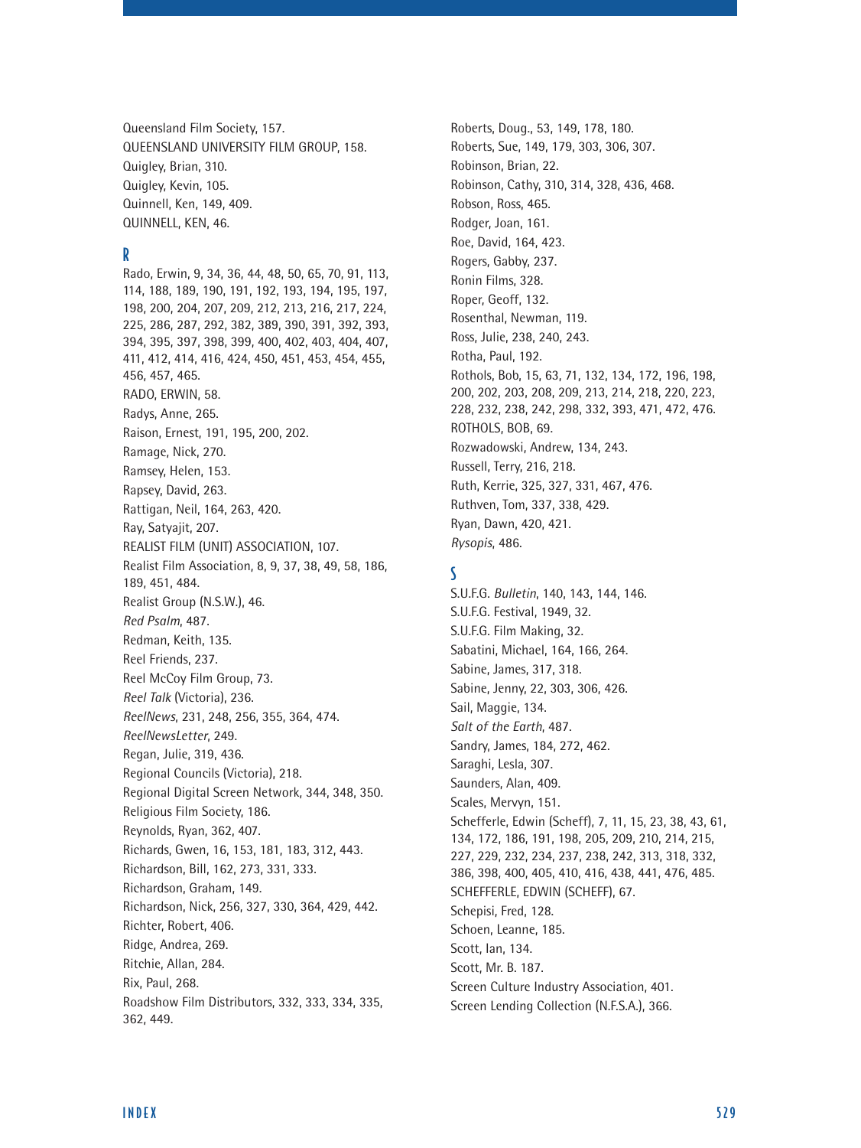Queensland Film Society, 157. QUEENSLAND UNIVERSITY FILM GROUP, 158. Quigley, Brian, 310. Quigley, Kevin, 105. Quinnell, Ken, 149, 409. QUINNELL, KEN, 46.

#### R

Rado, Erwin, 9, 34, 36, 44, 48, 50, 65, 70, 91, 113, 114, 188, 189, 190, 191, 192, 193, 194, 195, 197, 198, 200, 204, 207, 209, 212, 213, 216, 217, 224, 225, 286, 287, 292, 382, 389, 390, 391, 392, 393, 394, 395, 397, 398, 399, 400, 402, 403, 404, 407, 411, 412, 414, 416, 424, 450, 451, 453, 454, 455, 456, 457, 465. RADO, ERWIN, 58. Radys, Anne, 265. Raison, Ernest, 191, 195, 200, 202. Ramage, Nick, 270. Ramsey, Helen, 153. Rapsey, David, 263. Rattigan, Neil, 164, 263, 420. Ray, Satyajit, 207. REALIST FILM (UNIT) ASSOCIATION, 107. Realist Film Association, 8, 9, 37, 38, 49, 58, 186, 189, 451, 484. Realist Group (N.S.W.), 46. *Red Psalm*, 487. Redman, Keith, 135. Reel Friends, 237. Reel McCoy Film Group, 73. *Reel Talk* (Victoria), 236. *ReelNews*, 231, 248, 256, 355, 364, 474. *ReelNewsLetter*, 249. Regan, Julie, 319, 436. Regional Councils (Victoria), 218. Regional Digital Screen Network, 344, 348, 350. Religious Film Society, 186. Reynolds, Ryan, 362, 407. Richards, Gwen, 16, 153, 181, 183, 312, 443. Richardson, Bill, 162, 273, 331, 333. Richardson, Graham, 149. Richardson, Nick, 256, 327, 330, 364, 429, 442. Richter, Robert, 406. Ridge, Andrea, 269. Ritchie, Allan, 284. Rix, Paul, 268. Roadshow Film Distributors, 332, 333, 334, 335, 362, 449.

Roberts, Doug., 53, 149, 178, 180. Roberts, Sue, 149, 179, 303, 306, 307. Robinson, Brian, 22. Robinson, Cathy, 310, 314, 328, 436, 468. Robson, Ross, 465. Rodger, Joan, 161. Roe, David, 164, 423. Rogers, Gabby, 237. Ronin Films, 328. Roper, Geoff, 132. Rosenthal, Newman, 119. Ross, Julie, 238, 240, 243. Rotha, Paul, 192. Rothols, Bob, 15, 63, 71, 132, 134, 172, 196, 198, 200, 202, 203, 208, 209, 213, 214, 218, 220, 223, 228, 232, 238, 242, 298, 332, 393, 471, 472, 476. ROTHOLS, BOB, 69. Rozwadowski, Andrew, 134, 243. Russell, Terry, 216, 218. Ruth, Kerrie, 325, 327, 331, 467, 476. Ruthven, Tom, 337, 338, 429. Ryan, Dawn, 420, 421. *Rysopis*, 486.

#### S

S.U.F.G. *Bulletin*, 140, 143, 144, 146. S.U.F.G. Festival, 1949, 32. S.U.F.G. Film Making, 32. Sabatini, Michael, 164, 166, 264. Sabine, James, 317, 318. Sabine, Jenny, 22, 303, 306, 426. Sail, Maggie, 134. *Salt of the Earth*, 487. Sandry, James, 184, 272, 462. Saraghi, Lesla, 307. Saunders, Alan, 409. Scales, Mervyn, 151. Schefferle, Edwin (Scheff), 7, 11, 15, 23, 38, 43, 61, 134, 172, 186, 191, 198, 205, 209, 210, 214, 215, 227, 229, 232, 234, 237, 238, 242, 313, 318, 332, 386, 398, 400, 405, 410, 416, 438, 441, 476, 485. SCHEFFERLE, EDWIN (SCHEFF), 67. Schepisi, Fred, 128. Schoen, Leanne, 185. Scott, Ian, 134. Scott, Mr. B. 187. Screen Culture Industry Association, 401. Screen Lending Collection (N.F.S.A.), 366.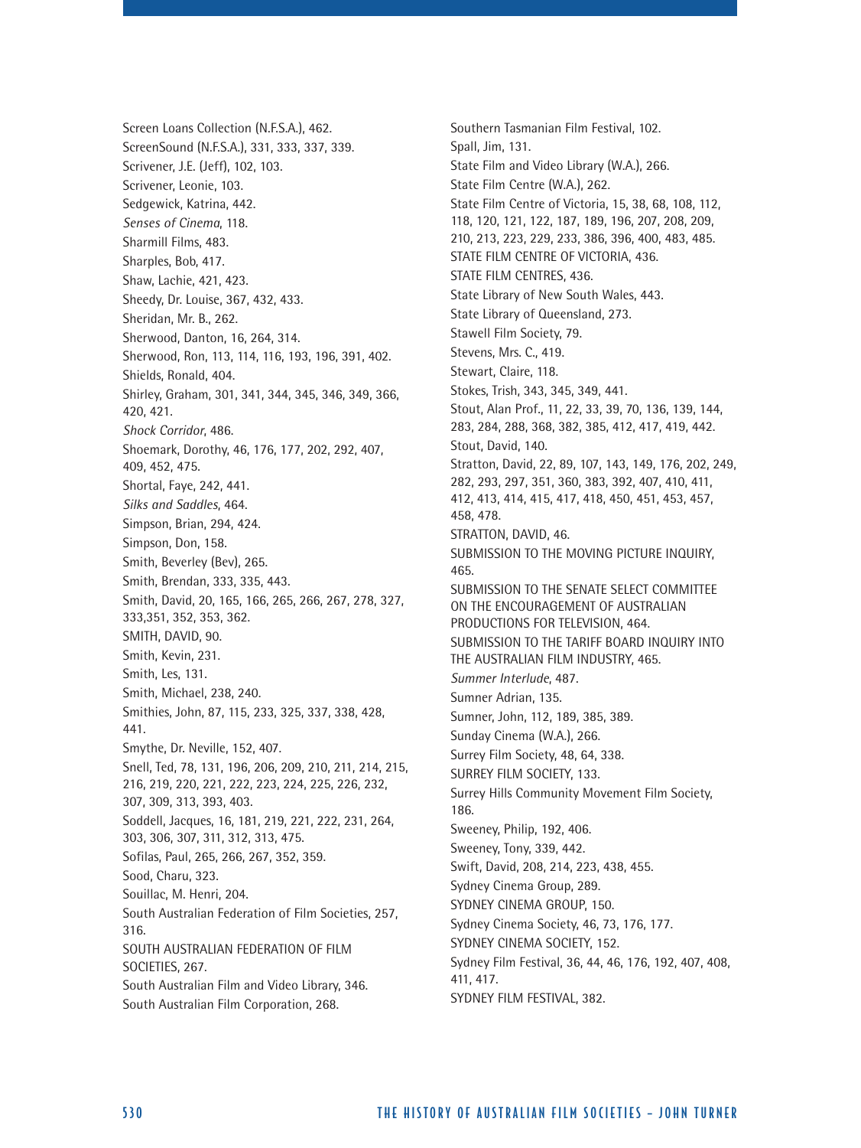Screen Loans Collection (N.F.S.A.), 462. ScreenSound (N.F.S.A.), 331, 333, 337, 339. Scrivener, J.E. (Jeff), 102, 103. Scrivener, Leonie, 103. Sedgewick, Katrina, 442. *Senses of Cinema*, 118. Sharmill Films, 483. Sharples, Bob, 417. Shaw, Lachie, 421, 423. Sheedy, Dr. Louise, 367, 432, 433. Sheridan, Mr. B., 262. Sherwood, Danton, 16, 264, 314. Sherwood, Ron, 113, 114, 116, 193, 196, 391, 402. Shields, Ronald, 404. Shirley, Graham, 301, 341, 344, 345, 346, 349, 366, 420, 421. *Shock Corridor*, 486. Shoemark, Dorothy, 46, 176, 177, 202, 292, 407, 409, 452, 475. Shortal, Faye, 242, 441. *Silks and Saddles*, 464. Simpson, Brian, 294, 424. Simpson, Don, 158. Smith, Beverley (Bev), 265. Smith, Brendan, 333, 335, 443. Smith, David, 20, 165, 166, 265, 266, 267, 278, 327, 333,351, 352, 353, 362. SMITH, DAVID, 90. Smith, Kevin, 231. Smith, Les, 131. Smith, Michael, 238, 240. Smithies, John, 87, 115, 233, 325, 337, 338, 428, 441. Smythe, Dr. Neville, 152, 407. Snell, Ted, 78, 131, 196, 206, 209, 210, 211, 214, 215, 216, 219, 220, 221, 222, 223, 224, 225, 226, 232, 307, 309, 313, 393, 403. Soddell, Jacques, 16, 181, 219, 221, 222, 231, 264, 303, 306, 307, 311, 312, 313, 475. Sofilas, Paul, 265, 266, 267, 352, 359. Sood, Charu, 323. Souillac, M. Henri, 204. South Australian Federation of Film Societies, 257, 316. SOUTH AUSTRALIAN FEDERATION OF FILM SOCIETIES, 267. South Australian Film and Video Library, 346. South Australian Film Corporation, 268.

Southern Tasmanian Film Festival, 102. Spall, Jim, 131. State Film and Video Library (W.A.), 266. State Film Centre (W.A.), 262. State Film Centre of Victoria, 15, 38, 68, 108, 112, 118, 120, 121, 122, 187, 189, 196, 207, 208, 209, 210, 213, 223, 229, 233, 386, 396, 400, 483, 485. STATE FILM CENTRE OF VICTORIA, 436. STATE FILM CENTRES, 436. State Library of New South Wales, 443. State Library of Queensland, 273. Stawell Film Society, 79. Stevens, Mrs. C., 419. Stewart, Claire, 118. Stokes, Trish, 343, 345, 349, 441. Stout, Alan Prof., 11, 22, 33, 39, 70, 136, 139, 144, 283, 284, 288, 368, 382, 385, 412, 417, 419, 442. Stout, David, 140. Stratton, David, 22, 89, 107, 143, 149, 176, 202, 249, 282, 293, 297, 351, 360, 383, 392, 407, 410, 411, 412, 413, 414, 415, 417, 418, 450, 451, 453, 457, 458, 478. STRATTON, DAVID, 46. SUBMISSION TO THE MOVING PICTURE INQUIRY, 465. SUBMISSION TO THE SENATE SELECT COMMITTEE ON THE ENCOURAGEMENT OF AUSTRALIAN PRODUCTIONS FOR TELEVISION, 464. SUBMISSION TO THE TARIFF BOARD INQUIRY INTO THE AUSTRALIAN FILM INDUSTRY, 465. *Summer Interlude*, 487. Sumner Adrian, 135. Sumner, John, 112, 189, 385, 389. Sunday Cinema (W.A.), 266. Surrey Film Society, 48, 64, 338. SURREY FILM SOCIETY, 133. Surrey Hills Community Movement Film Society, 186. Sweeney, Philip, 192, 406. Sweeney, Tony, 339, 442. Swift, David, 208, 214, 223, 438, 455. Sydney Cinema Group, 289. SYDNEY CINEMA GROUP, 150. Sydney Cinema Society, 46, 73, 176, 177. SYDNEY CINEMA SOCIETY, 152. Sydney Film Festival, 36, 44, 46, 176, 192, 407, 408, 411, 417. SYDNEY FILM FESTIVAL, 382.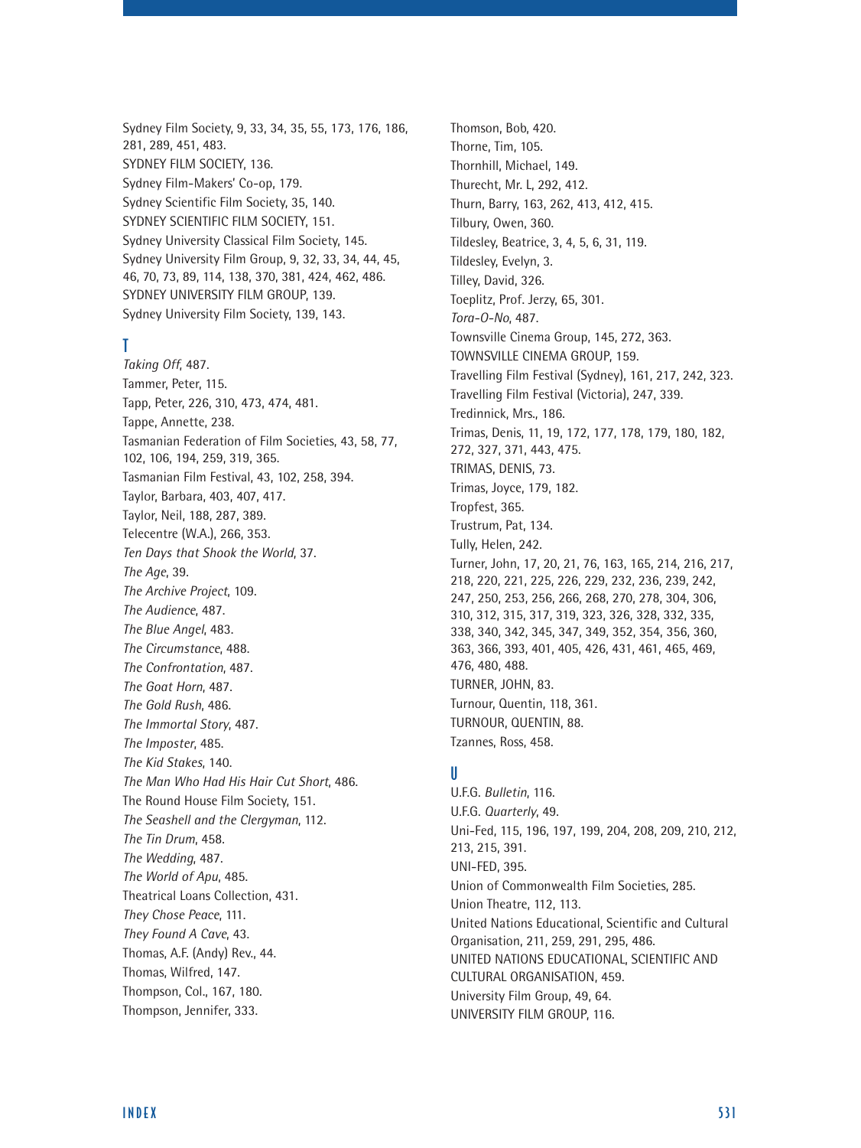Sydney Film Society, 9, 33, 34, 35, 55, 173, 176, 186, 281, 289, 451, 483. SYDNEY FILM SOCIETY, 136. Sydney Film-Makers' Co-op, 179. Sydney Scientific Film Society, 35, 140. SYDNEY SCIENTIFIC FILM SOCIETY, 151. Sydney University Classical Film Society, 145. Sydney University Film Group, 9, 32, 33, 34, 44, 45, 46, 70, 73, 89, 114, 138, 370, 381, 424, 462, 486. SYDNEY UNIVERSITY FILM GROUP, 139. Sydney University Film Society, 139, 143.

#### T

*Taking Off*, 487. Tammer, Peter, 115. Tapp, Peter, 226, 310, 473, 474, 481. Tappe, Annette, 238. Tasmanian Federation of Film Societies, 43, 58, 77, 102, 106, 194, 259, 319, 365. Tasmanian Film Festival, 43, 102, 258, 394. Taylor, Barbara, 403, 407, 417. Taylor, Neil, 188, 287, 389. Telecentre (W.A.), 266, 353. *Ten Days that Shook the World*, 37. *The Age*, 39. *The Archive Project*, 109. *The Audience*, 487. *The Blue Angel*, 483. *The Circumstance*, 488. *The Confrontation*, 487. *The Goat Horn*, 487. *The Gold Rush*, 486. *The Immortal Story*, 487. *The Imposter*, 485. *The Kid Stakes*, 140. *The Man Who Had His Hair Cut Short*, 486. The Round House Film Society, 151. *The Seashell and the Clergyman*, 112. *The Tin Drum*, 458. *The Wedding*, 487. *The World of Apu*, 485. Theatrical Loans Collection, 431. *They Chose Peace*, 111. *They Found A Cave*, 43. Thomas, A.F. (Andy) Rev., 44. Thomas, Wilfred, 147. Thompson, Col., 167, 180. Thompson, Jennifer, 333.

Thomson, Bob, 420. Thorne, Tim, 105. Thornhill, Michael, 149. Thurecht, Mr. L, 292, 412. Thurn, Barry, 163, 262, 413, 412, 415. Tilbury, Owen, 360. Tildesley, Beatrice, 3, 4, 5, 6, 31, 119. Tildesley, Evelyn, 3. Tilley, David, 326. Toeplitz, Prof. Jerzy, 65, 301. *Tora-O-No*, 487. Townsville Cinema Group, 145, 272, 363. TOWNSVILLE CINEMA GROUP, 159. Travelling Film Festival (Sydney), 161, 217, 242, 323. Travelling Film Festival (Victoria), 247, 339. Tredinnick, Mrs., 186. Trimas, Denis, 11, 19, 172, 177, 178, 179, 180, 182, 272, 327, 371, 443, 475. TRIMAS, DENIS, 73. Trimas, Joyce, 179, 182. Tropfest, 365. Trustrum, Pat, 134. Tully, Helen, 242. Turner, John, 17, 20, 21, 76, 163, 165, 214, 216, 217, 218, 220, 221, 225, 226, 229, 232, 236, 239, 242, 247, 250, 253, 256, 266, 268, 270, 278, 304, 306, 310, 312, 315, 317, 319, 323, 326, 328, 332, 335, 338, 340, 342, 345, 347, 349, 352, 354, 356, 360, 363, 366, 393, 401, 405, 426, 431, 461, 465, 469, 476, 480, 488. TURNER, JOHN, 83. Turnour, Quentin, 118, 361. TURNOUR, QUENTIN, 88. Tzannes, Ross, 458.

### U

U.F.G. *Bulletin*, 116. U.F.G. *Quarterly*, 49. Uni-Fed, 115, 196, 197, 199, 204, 208, 209, 210, 212, 213, 215, 391. UNI-FED, 395. Union of Commonwealth Film Societies, 285. Union Theatre, 112, 113. United Nations Educational, Scientific and Cultural Organisation, 211, 259, 291, 295, 486. UNITED NATIONS EDUCATIONAL, SCIENTIFIC AND CULTURAL ORGANISATION, 459. University Film Group, 49, 64. UNIVERSITY FILM GROUP, 116.